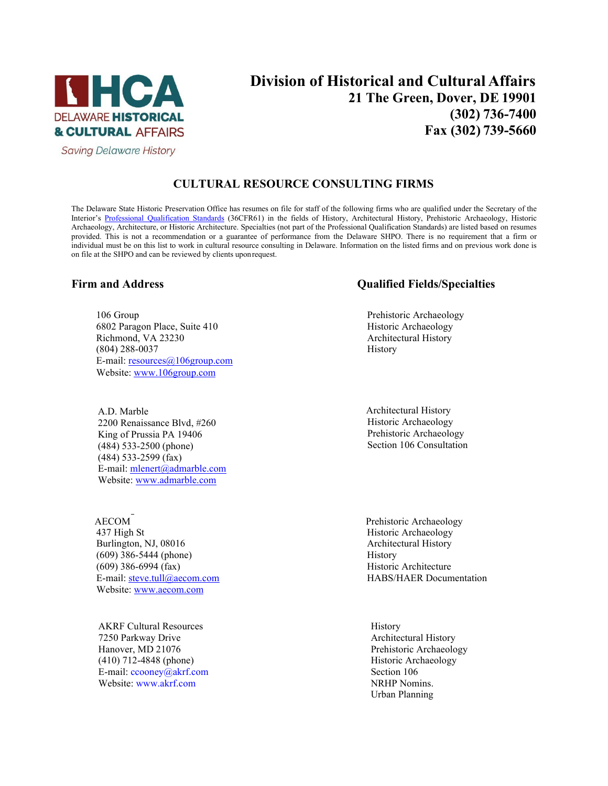

**Saving Delaware History** 

# **Division of Historical and Cultural Affairs 21 The Green, Dover, DE 19901 (302) 736-7400 Fax (302) 739-5660**

## **CULTURAL RESOURCE CONSULTING FIRMS**

The Delaware State Historic Preservation Office has resumes on file for staff of the following firms who are qualified under the Secretary of the Interior's [Professional Qualification](http://www.nps.gov/history/local-law/arch_stnds_9.htm) Standards (36CFR61) in the fields of History, Architectural History, Prehistoric Archaeology, Historic Archaeology, Architecture, or Historic Architecture. Specialties (not part of the Professional Qualification Standards) are listed based on resumes provided. This is not a recommendation or a guarantee of performance from the Delaware SHPO. There is no requirement that a firm or individual must be on this list to work in cultural resource consulting in Delaware. Information on the listed firms and on previous work done is on file at the SHPO and can be reviewed by clients uponrequest.

106 Group **Prehistoric Archaeology Prehistoric Archaeology** 6802 Paragon Place, Suite 410 Historic Archaeology Richmond, VA 23230 Architectural History (804) 288-0037 History E-mail: [resources@106group.com](mailto:resources@106group.com) Website: [www.106group.com](http://www.106group.com/)

A.D. Marble<br>
2200 Renaissance Blvd. #260<br>
2200 Renaissance Blvd. #260 2200 Renaissance Blvd, #260<br>
King of Prussia PA 19406<br>
Historic Archaeology<br>
Prehistoric Archaeology King of Prussia PA 19406<br>
(484) 533-2500 (phone) Prehistoric Archaeology<br>
Section 106 Consultation  $(484)$  533-2500 (phone) (484) 533-2599 (fax) E-mail: [mlenert@admarble.com](mailto:mlenert@admarble.com) Website[: www.admarble.com](https://gcc02.safelinks.protection.outlook.com/?url=http%3A%2F%2Fwww.admarble.com%2F&data=02%7C01%7CMichael.Cinque%40delaware.gov%7C8d570d7ad2a64cf1bab408d849f0cc85%7C8c09e56951c54deeabb28b99c32a4396%7C0%7C0%7C637340645849948160&sdata=9QoetbS8OyjSNHdozN0dLW%2FLO6g8ifAjA12lgLteJRg%3D&reserved=0)

AECOM Prehistoric Archaeology 437 High St Historic Archaeology Burlington, NJ, 08016 **Architectural History Architectural History** (609) 386-5444 (phone) History  $(609)$  386-6994  $(fax)$  Historic Architecture E-mail[: steve.tull@aecom.com](mailto:steve.tull@aecom.com) HABS/HAER Documentation Website: [www.aecom.com](http://www.aecom.com/)

AKRF Cultural Resources and the extent of the History History 7250 Parkway Drive **Architectural History**<br>
Hanover, MD 21076 **Architectural History**<br>
Prehistoric Archaeolo (410) 712-4848 (phone) Historic Archaeology E-mail[: ccooney@akrf.com](mailto:ccooney@akrf.com) Section 106 Website: [www.akrf.com](http://www.akrf.com/) NRHP Nomins.

### **Firm and Address Qualified Fields/Specialties**

Prehistoric Archaeology Urban Planning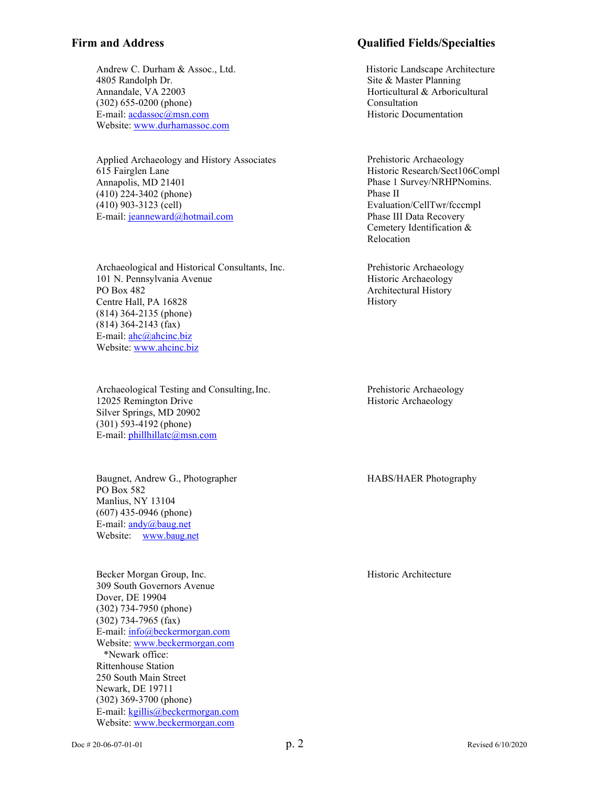Andrew C. Durham & Assoc., Ltd. Historic Landscape Architecture 4805 Randolph Dr. Site & Master Planning Annandale, VA 22003 Horticultural & Arboricultural (302) 655-0200 (phone) Consultation E-mail: <u>acdassoc@msn.com</u> Historic Documentation Website: [www.durhamassoc.com](http://www.durhamassoc.com/)

Applied Archaeology and History Associates 615 Fairglen Lane Annapolis, MD 21401 (410) 224-3402 (phone) (410) 903-3123 (cell) E-mail: [jeanneward@hotmail.com](mailto:jeanneward@hotmail.com)

Archaeological and Historical Consultants, Inc. 101 N. Pennsylvania Avenue PO Box 482 Centre Hall, PA 16828 (814) 364-2135 (phone) (814) 364-2143 (fax) E-mail: [ahc@ahcinc.biz](mailto:ahc@ahcinc.biz) Website: [www.ahcinc.biz](http://www.ahcinc.biz/)

Archaeological Testing and Consulting,Inc. 12025 Remington Drive Silver Springs, MD 20902 (301) 593-4192 (phone) E-mail: [phillhillatc@msn.com](mailto:phillhillatc@msn.com)

Baugnet, Andrew G., Photographer PO Box 582 Manlius, NY 13104 (607) 435-0946 (phone) E-mail: [andy@baug.net](mailto:andy@baug.net) Website: [www.baug.net](http://www.baug.net/)

Becker Morgan Group, Inc. 309 South Governors Avenue Dover, DE 19904 (302) 734-7950 (phone) (302) 734-7965 (fax) E-mail: [info@beckermorgan.com](mailto:info@beckermorgan.com) Website: [www.beckermorgan.com](http://www.beckermorgan.com/) \*Newark office: Rittenhouse Station 250 South Main Street Newark, DE 19711 (302) 369-3700 (phone) E-mail: [kgillis@beckermorgan.com](mailto:kgillis@beckermorgan.com) Website: [www.beckermorgan.com](http://www.beckermorgan.com/)

### **Firm and Address Qualified Fields/Specialties**

Prehistoric Archaeology Historic Research/Sect106Compl Phase 1 Survey/NRHPNomins. Phase II Evaluation/CellTwr/fcccmpl Phase III Data Recovery Cemetery Identification & Relocation

Prehistoric Archaeology Historic Archaeology Architectural History History

Prehistoric Archaeology Historic Archaeology

HABS/HAER Photography

Historic Architecture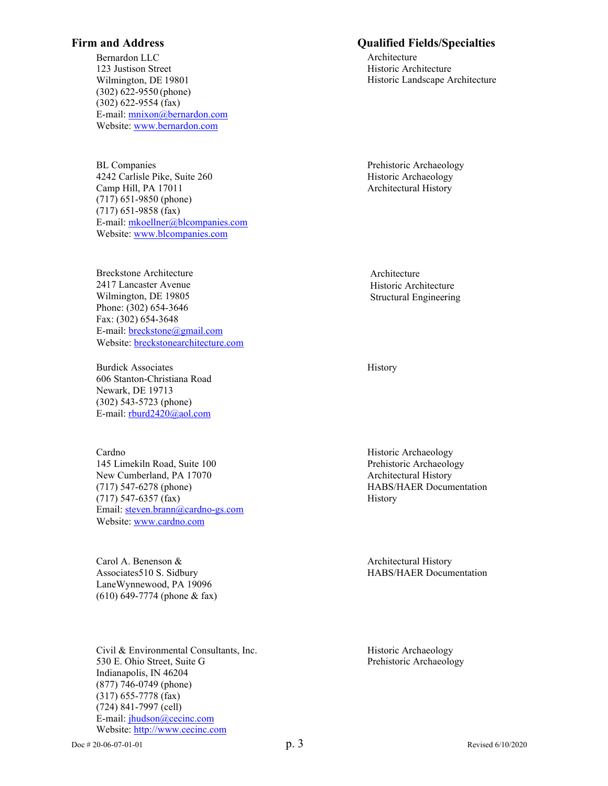Bernardon LLC 123 Justison Street Wilmington, DE 19801 (302) 622-9550 (phone) (302) 622-9554 (fax) E-mail: [mnixon@bernardon.com](mailto:mnixon@bernardon.com) Website: [www.bernardon.com](http://www.bernardon.com/)

BL Companies 4242 Carlisle Pike, Suite 260 Camp Hill, PA 17011 (717) 651-9850 (phone) (717) 651-9858 (fax) E-mail: [mkoellner@blcompanies.com](mailto:mkoellner@blcompanies.com) Website: [www.blcompanies.com](http://www.blcompanies.com/)

Breckstone Architecture 2417 Lancaster Avenue Wilmington, DE 19805 Phone: (302) 654-3646 Fax: (302) 654-3648 E-mail[: breckstone@gmail.com](mailto:breckstone@gmail.com) Website: [breckstonearchitecture.com](http://www.breckstonearchitecture.com/)

Burdick Associates 606 Stanton-Christiana Road Newark, DE 19713 (302) 543-5723 (phone) E-mail: [rburd2420@aol.com](mailto:rburd2420@aol.com)

Cardno Historic Archaeology 145 Limekiln Road, Suite 100 entitled a state of the Prehistoric Archaeology New Cumberland, PA 17070 Architectural History (717) 547-6278 (phone) HABS/HAER Documentation (717) 547-6357 (fax) History Email: [steven.brann@cardno-gs.com](mailto:steven.brann@cardno-gs.com) Website: [www.cardno.com](http://www.cardno.com/)

Carol A. Benenson & Associates510 S. Sidbury LaneWynnewood, PA 19096 (610) 649-7774 (phone & fax)

Civil & Environmental Consultants, Inc. Historic Archaeology 530 E. Ohio Street, Suite G Prehistoric Archaeology Indianapolis, IN 46204 (877) 746-0749 (phone) (317) 655-7778 (fax) (724) 841-7997 (cell) E-mail: [jhudson@cecinc.com](mailto:jhudson@cecinc.com) Website: [http://www.cecinc.com](http://www.cecinc.com/)

### **Firm and Address Qualified Fields/Specialties**

Architecture Historic Architecture Historic Landscape Architecture

Prehistoric Archaeology Historic Archaeology Architectural History

Architecture Historic Architecture Structural Engineering

History

Architectural History HABS/HAER Documentation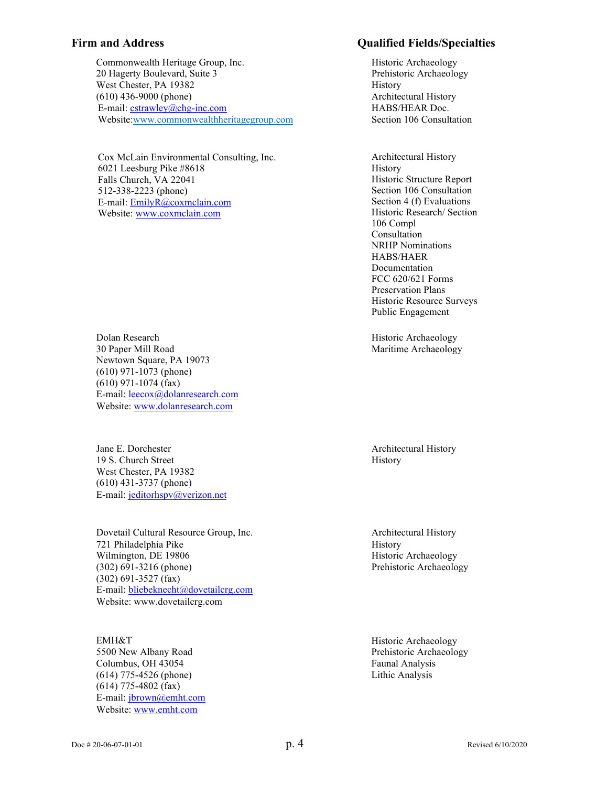Commonwealth Heritage Group, Inc. The Historic Archaeology 20 Hagerty Boulevard, Suite 3 **Prehistoric Archaeology Prehistoric Archaeology** West Chester, PA 19382 History (610) 436-9000 (phone) Architectural History E-mail: [cstrawley@chg-inc.com](mailto:cstrawley@chg-inc.com) HABS/HEAR Doc. Websi[te:www.commonwealthheritagegroup.com](http://www.commonwealthheritagegroup.com/) Section 106 Consultation

Cox McLain Environmental Consulting, Inc. Architectural History 6021 Leesburg Pike #8618 Falls Church, VA 22041 512-338-2223 (phone) E-mail: [EmilyR@coxmclain.com](mailto:EmilyR@coxmclain.com) Website[: www.coxmclain.com](Website:%20www.coxmclain.com)

Dolan Research **Historic Archaeology** Historic Archaeology 30 Paper Mill Road Maritime Archaeology Newtown Square, PA 19073 (610) 971-1073 (phone) (610) 971-1074 (fax) E-mail: [leecox@dolanresearch.com](mailto:leecox@dolanresearch.com) Website: [www.dolanresearch.com](http://www.dolanresearch.com/)

Jane E. Dorchester **Architectural History Architectural History** 19 S. Church Street History West Chester, PA 19382 (610) 431-3737 (phone) E-mail: [jeditorhspv@verizon.net](mailto:jeditorhspv@verizon.net)

Dovetail Cultural Resource Group, Inc. Architectural History 721 Philadelphia Pike History Wilmington, DE 19806 Historic Archaeology (302) 691-3216 (phone) Prehistoric Archaeology (302) 691-3527 (fax) E-mail: [bliebeknecht@dovetailcrg.com](mailto:bliebeknecht@dovetailcrg.com) Website: [www.dovetailcrg.com](http://www.dovetailcrg.com/)

EMH&T Historic Archaeology 5500 New Albany Road **Prehistoric Archaeology** Columbus, OH 43054 Faunal Analysis (614) 775-4526 (phone) Lithic Analysis (614) 775-4802 (fax) E-mail: [jbrown@emht.com](mailto:jbrown@emht.com) Website: [www.emht.com](http://www.emht.com/)

### **Firm and Address Qualified Fields/Specialties**

History Historic Structure Report Section 106 Consultation Section 4 (f) Evaluations Historic Research/ Section 106 Compl Consultation NRHP Nominations HABS/HAER Documentation FCC 620/621 Forms Preservation Plans Historic Resource Surveys Public Engagement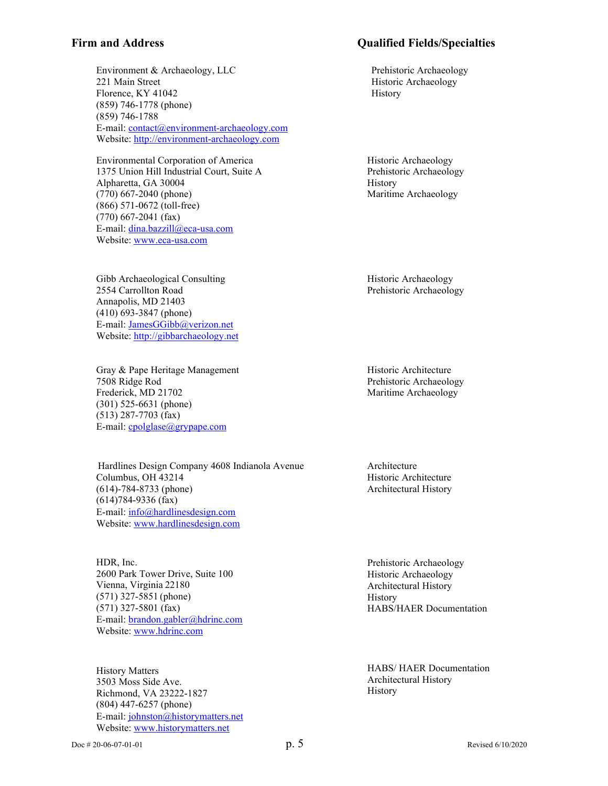Environment & Archaeology, LLC Prehistoric Archaeology 221 Main Street Historic Archaeology Florence, KY 41042 History (859) 746-1778 (phone) (859) 746-1788 E-mail: [contact@environment-archaeology.com](mailto:contact@environment-archaeology.com) Website: [http://environment-archaeology.com](http://environment-archaeology.com/)

Environmental Corporation of America 1375 Union Hill Industrial Court, Suite A Alpharetta, GA 30004 (770) 667-2040 (phone) (866) 571-0672 (toll-free) (770) 667-2041 (fax) E-mail: [dina.bazzill@eca-usa.com](mailto:dina.bazzill@eca-usa.com) Website: [www.eca-usa.com](http://www.eca-usa.com/)

Gibb Archaeological Consulting 2554 Carrollton Road Annapolis, MD 21403 (410) 693-3847 (phone) E-mail: [JamesGGibb@verizon.net](mailto:JamesGGibb@verizon.net) Website: [http://gibbarchaeology.net](http://gibbarchaeology.net/)

Gray & Pape Heritage Management 7508 Ridge Rod Frederick, MD 21702 (301) 525-6631 (phone) (513) 287-7703 (fax) E-mail: [cpolglase@grypape.com](mailto:cpolglase@grypape.com)

Hardlines Design Company 4608 Indianola Avenue Columbus, OH 43214 (614)-784-8733 (phone) (614)784-9336 (fax) E-mail: [info@hardlinesdesign.com](mailto:info@hardlinesdesign.com) Website: [www.hardlinesdesign.com](http://www.hardlinesdesign.com/)

HDR, Inc. 2600 Park Tower Drive, Suite 100 Vienna, Virginia 22180 (571) 327-5851 (phone) (571) 327-5801 (fax) E-mail: [brandon.gabler@hdrinc.com](mailto:brandon.gabler@hdrinc.com) Website: [www.hdrinc.com](http://www.hdrinc.com/)

History Matters 3503 Moss Side Ave. Richmond, VA 23222-1827 (804) 447-6257 (phone) E-mail: [johnston@historymatters.net](mailto:johnston@historymatters.net) Website: [www.historymatters.net](http://www.historymatters.net/)

## **Firm and Address Qualified Fields/Specialties**

Historic Archaeology Prehistoric Archaeology **History** Maritime Archaeology

Historic Archaeology Prehistoric Archaeology

Historic Architecture Prehistoric Archaeology Maritime Archaeology

Architecture Historic Architecture Architectural History

Prehistoric Archaeology Historic Archaeology Architectural History History HABS/HAER Documentation

HABS/ HAER Documentation Architectural History History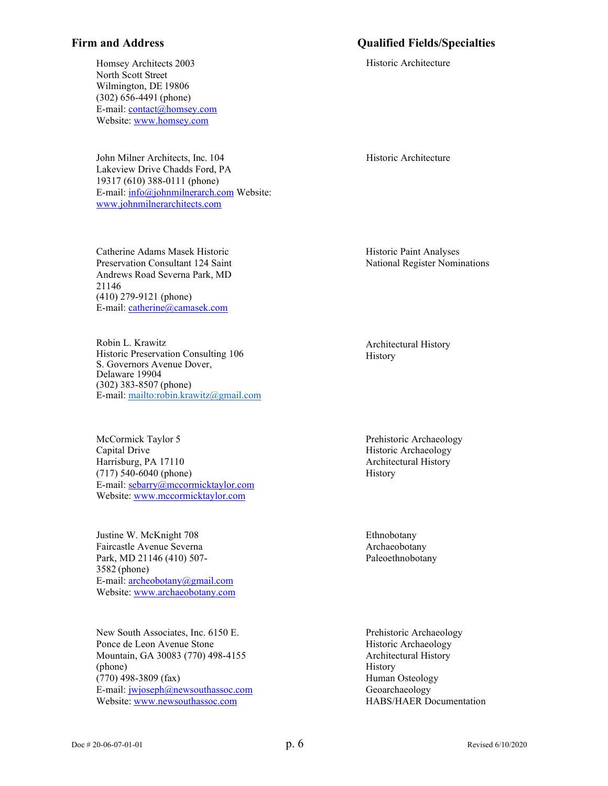### **Firm and Address Qualified Fields/Specialties**

Historic Architecture

Homsey Architects 2003 North Scott Street Wilmington, DE 19806 (302) 656-4491 (phone) E-mail: [contact@homsey.com](mailto:contact@homsey.com) Website: [www.homsey.com](http://www.homsey.com/)

John Milner Architects, Inc. 104 Lakeview Drive Chadds Ford, PA 19317 (610) 388-0111 (phone) E-mail: [info@johnmilnerarch.com](mailto:info@johnmilnerarch.com) Website: [www.johnmilnerarchitects.com](http://www.johnmilnerarchitects.com/)

Catherine Adams Masek Historic Preservation Consultant 124 Saint Andrews Road Severna Park, MD 21146 (410) 279-9121 (phone) E-mail: [catherine@camasek.com](mailto:catherine@camasek.com)

Robin L. Krawitz Historic Preservation Consulting 106 S. Governors Avenue Dover, Delaware 19904 (302) 383-8507 (phone) E-mail:<mailto:robin.krawitz@gmail.com>

McCormick Taylor 5 Capital Drive Harrisburg, PA 17110 (717) 540-6040 (phone) E-mail: [sebarry@mccormicktaylor.com](mailto:sebarry@mccormicktaylor.com) Website: [www.mccormicktaylor.com](http://www.mccormicktaylor.com/)

Justine W. McKnight 708 Faircastle Avenue Severna Park, MD 21146 (410) 507- 3582 (phone) E-mail: [archeobotany@gmail.com](mailto:archeobotany@gmail.com) Website: [www.archaeobotany.com](http://www.archaeobotany.com/)

New South Associates, Inc. 6150 E. Ponce de Leon Avenue Stone Mountain, GA 30083 (770) 498-4155 (phone) (770) 498-3809 (fax) E-mail: [jwjoseph@newsouthassoc.com](mailto:jwjoseph@newsouthassoc.com) Website: [www.newsouthassoc.com](http://www.newsouthassoc.com/)

Historic Architecture

Historic Paint Analyses National Register Nominations

Architectural History History

Prehistoric Archaeology Historic Archaeology Architectural History History

Ethnobotany Archaeobotany Paleoethnobotany

Prehistoric Archaeology Historic Archaeology Architectural History History Human Osteology Geoarchaeology HABS/HAER Documentation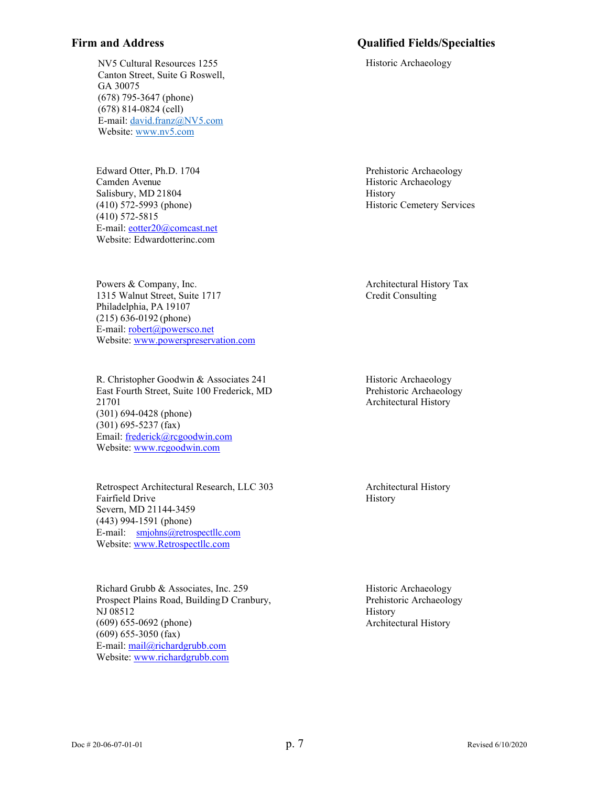### **Firm and Address Qualified Fields/Specialties**

NV5 Cultural Resources 1255 Canton Street, Suite G Roswell, GA 30075 (678) 795-3647 (phone) (678) 814-0824 (cell) E-mail: [david.franz@NV5.com](mailto:david.franz@NV5.com) Website[: www.nv5.com](http://www.nv5.com/)

Edward Otter, Ph.D. 1704 Camden Avenue Salisbury, MD 21804 (410) 572-5993 (phone) (410) 572-5815 E-mail: [eotter20@comcast.net](mailto:eotter20@comcast.net) Website: Edwardotterinc.com

Powers & Company, Inc. 1315 Walnut Street, Suite 1717 Philadelphia, PA 19107 (215) 636-0192 (phone) E-mail: [robert@powersco.net](mailto:robert@powersco.net) Website: [www.powerspreservation.com](http://www.powerspreservation.com/)

R. Christopher Goodwin & Associates 241 East Fourth Street, Suite 100 Frederick, MD 21701 (301) 694-0428 (phone) (301) 695-5237 (fax) Email: [frederick@rcgoodwin.com](mailto:amarkell@rcgoodwin.com) Website: [www.rcgoodwin.com](http://www.rcgoodwin.com/)

Retrospect Architectural Research, LLC 303 Fairfield Drive Severn, MD 21144-3459 (443) 994-1591 (phone) E-mail: [smjohns@retrospectllc.com](mailto:smjohns@retrospectllc.com) Website: [www.Retrospectllc.com](http://www.retrospectllc.com/)

Richard Grubb & Associates, Inc. 259 Prospect Plains Road, BuildingD Cranbury, NJ 08512 (609) 655-0692 (phone) (609) 655-3050 (fax) E-mail: [mail@richardgrubb.com](mailto:mail@richardgrubb.com) Website: [www.richardgrubb.com](http://www.richardgrubb.com/)

Historic Archaeology

Prehistoric Archaeology Historic Archaeology History Historic Cemetery Services

Architectural History Tax Credit Consulting

Historic Archaeology Prehistoric Archaeology Architectural History

Architectural History History

Historic Archaeology Prehistoric Archaeology History Architectural History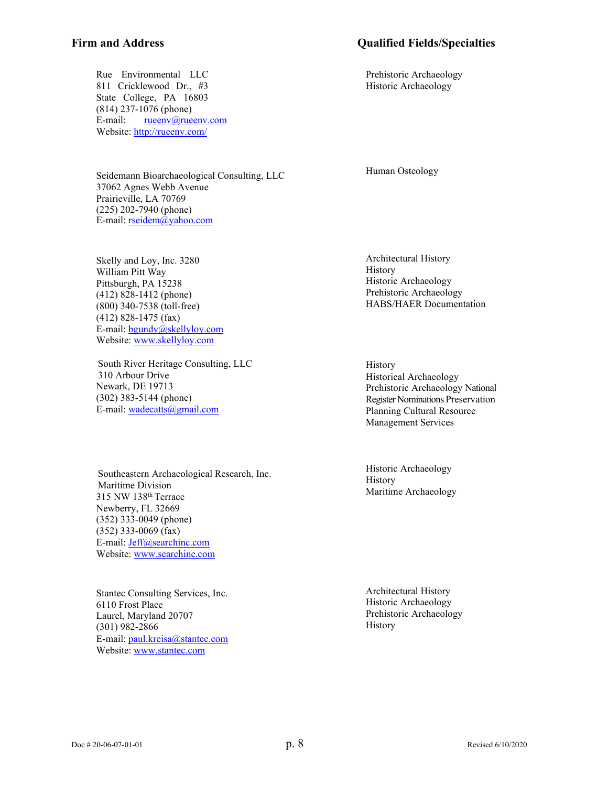### **Firm and Address Qualified Fields/Specialties**

Prehistoric Archaeology Historic Archaeology

Rue Environmental LLC 811 Cricklewood Dr., #3 State College, PA 16803 (814) 237-1076 (phone) E-mail: [rueenv@rueenv.com](mailto:rueenv@rueenv.com) Website:<http://rueenv.com/>

Seidemann Bioarchaeological Consulting, LLC 37062 Agnes Webb Avenue Prairieville, LA 70769 (225) 202-7940 (phone) E-mail: [rseidem@yahoo.com](mailto:rseidem@yahoo.com)

Skelly and Loy, Inc. 3280 William Pitt Way Pittsburgh, PA 15238 (412) 828-1412 (phone) (800) 340-7538 (toll-free) (412) 828-1475 (fax) E-mail: [bgundy@skellyloy.com](mailto:bgundy@skellyloy.com) Website: [www.skellyloy.com](http://www.skellyloy.com/)

South River Heritage Consulting, LLC 310 Arbour Drive Newark, DE 19713 (302) 383-5144 (phone) E-mail: [wadecatts@gmail.com](mailto:Jeff@searchinc.com)

Southeastern Archaeological Research, Inc. Maritime Division 315 NW 138th Terrace Newberry, FL 32669 (352) 333-0049 (phone) (352) 333-0069 (fax) E-mail: [Jeff@searchinc.com](mailto:Jeff@searchinc.com) Website: [www.searchinc.com](http://www.searchinc.com/)

Stantec Consulting Services, Inc. 6110 Frost Place Laurel, Maryland 20707 (301) 982-2866 E-mail: [paul.kreisa@stantec.com](mailto:paul.kreisa@stantec.com) Website: [www.stantec.com](http://www.stantec.com/)

Human Osteology

Architectural History History Historic Archaeology Prehistoric Archaeology HABS/HAER Documentation

History Historical Archaeology Prehistoric Archaeology National Register Nominations Preservation Planning Cultural Resource Management Services

Historic Archaeology History Maritime Archaeology

Architectural History Historic Archaeology Prehistoric Archaeology History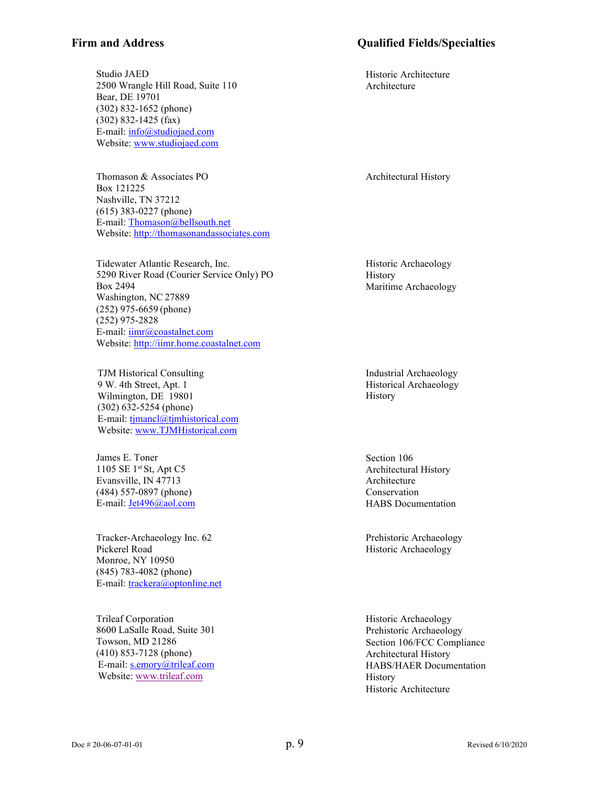Studio JAED 2500 Wrangle Hill Road, Suite 110 Bear, DE 19701 (302) 832-1652 (phone) (302) 832-1425 (fax) E-mail: [info@studiojaed.com](mailto:info@studiojaed.com) Website: [www.studiojaed.com](http://www.studiojaed.com/)

Thomason & Associates PO Box 121225 Nashville, TN 37212 (615) 383-0227 (phone) E-mail: [Thomason@bellsouth.net](mailto:Thomason@bellsouth.net) Website: [http://thomasonandassociates.com](http://thomasonandassociates.com/)

Tidewater Atlantic Research, Inc. 5290 River Road (Courier Service Only) PO Box 2494 Washington, NC 27889 (252) 975-6659 (phone) (252) 975-2828 E-mail:  $\lim_{a \to \infty} a$ coastalnet.com Website: [http://iimr.home.coastalnet.com](http://iimr.home.coastalnet.com/)

TJM Historical Consulting 9 W. 4th Street, Apt. 1 Wilmington, DE 19801 (302) 632-5254 (phone) E-mail: [tjmancl@tjmhistorical.com](mailto:tjmancl@tjmhistorical.com) Website: [www.TJMHistorical.com](https://gcc02.safelinks.protection.outlook.com/?url=http%3A%2F%2Fwww.tjmhistorical.com%2F&data=04%7C01%7CMichael.Cinque%40delaware.gov%7C1746a8b89bd0426e88f408d8c7821836%7C8c09e56951c54deeabb28b99c32a4396%7C0%7C0%7C637478708844177010%7CUnknown%7CTWFpbGZsb3d8eyJWIjoiMC4wLjAwMDAiLCJQIjoiV2luMzIiLCJBTiI6Ik1haWwiLCJXVCI6Mn0%3D%7C1000&sdata=51BcemI4foyMXJR%2BqWNZSVSeIwWbesqAo4paofpdTsA%3D&reserved=0)

James E. Toner 1105 SE 1st St, Apt C5 Evansville, IN 47713 (484) 557-0897 (phone) E-mail: [Jet496@aol.com](mailto:Jet496@aol.com)

Tracker-Archaeology Inc. 62 Pickerel Road Monroe, NY 10950 (845) 783-4082 (phone) E-mail: [trackera@optonline.net](mailto:trackera@optonline.net)

Trileaf Corporation 8600 LaSalle Road, Suite 301 Towson, MD 21286 (410) 853-7128 (phone) E-mail: [s.emory@trileaf.com](mailto:s.emory@trileaf.com) Website[: www.trileaf.com](https://www.trileaf.com/)

## **Firm and Address Qualified Fields/Specialties**

Historic Architecture Architecture

Architectural History

Historic Archaeology History Maritime Archaeology

Industrial Archaeology Historical Archaeology History

Section 106 Architectural History Architecture Conservation HABS Documentation

Prehistoric Archaeology Historic Archaeology

Historic Archaeology Prehistoric Archaeology Section 106/FCC Compliance Architectural History HABS/HAER Documentation History Historic Architecture